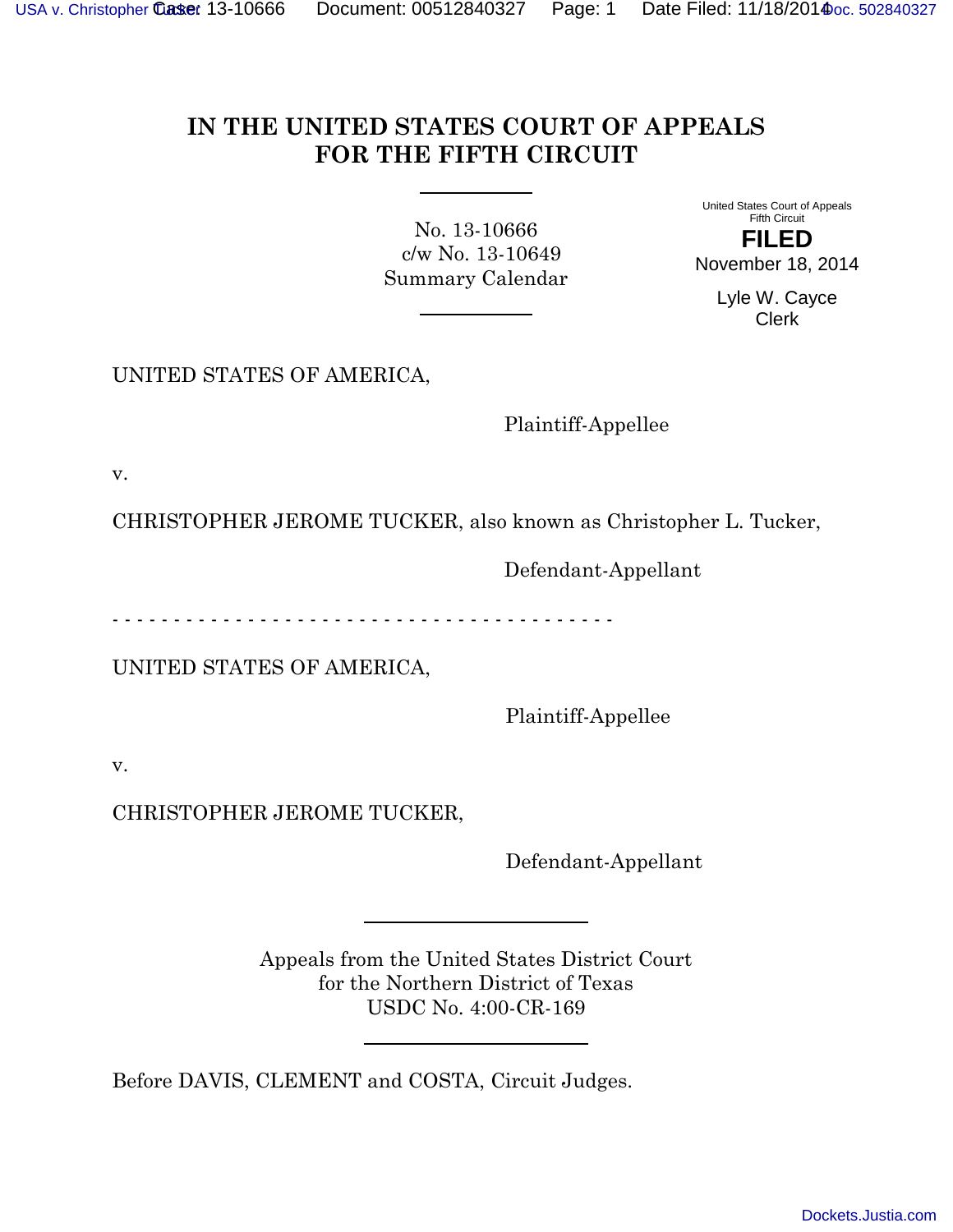## **IN THE UNITED STATES COURT OF APPEALS FOR THE FIFTH CIRCUIT**

<span id="page-0-0"></span>No. 13-10666 c/w No. 13-10649 Summary Calendar

United States Court of Appeals Fifth Circuit **FILED** November 18, 2014

Lyle W. Cayce Clerk

UNITED STATES OF AMERICA,

Plaintiff-Appellee

v.

CHRISTOPHER JEROME TUCKER, also known as Christopher L. Tucker,

Defendant-Appellant

- - - - - - - - - - - - - - - - - - - - - - - - - - - - - - - - - - - - - - - - -

UNITED STATES OF AMERICA,

Plaintiff-Appellee

v.

CHRISTOPHER JEROME TUCKER,

Defendant-Appellant

Appeals from the United States District Court for the Northern District of Texas USDC No. 4:00-CR-169

Before DAVIS, CLEMENT and COSTA, Circuit Judges.